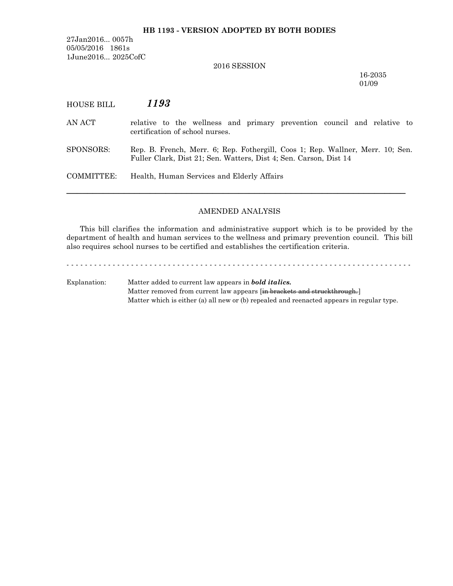### **HB 1193 - VERSION ADOPTED BY BOTH BODIES**

27Jan2016... 0057h 05/05/2016 1861s 1June2016... 2025CofC

# 2016 SESSION

16-2035 01/09

| HOUSE BILL | 1193                                                                                                                                                |
|------------|-----------------------------------------------------------------------------------------------------------------------------------------------------|
| AN ACT     | relative to the wellness and primary prevention council and relative to<br>certification of school nurses.                                          |
| SPONSORS:  | Rep. B. French, Merr. 6; Rep. Fothergill, Coos 1; Rep. Wallner, Merr. 10; Sen.<br>Fuller Clark, Dist 21; Sen. Watters, Dist 4; Sen. Carson, Dist 14 |
| COMMITTEE: | Health, Human Services and Elderly Affairs                                                                                                          |
|            |                                                                                                                                                     |

### AMENDED ANALYSIS

This bill clarifies the information and administrative support which is to be provided by the department of health and human services to the wellness and primary prevention council. This bill also requires school nurses to be certified and establishes the certification criteria.

- - - - - - - - - - - - - - - - - - - - - - - - - - - - - - - - - - - - - - - - - - - - - - - - - - - - - - - - - - - - - - - - - - - - - - - - - - -

Explanation: Matter added to current law appears in *bold italics.* Matter removed from current law appears [in brackets and struckthrough.] Matter which is either (a) all new or (b) repealed and reenacted appears in regular type.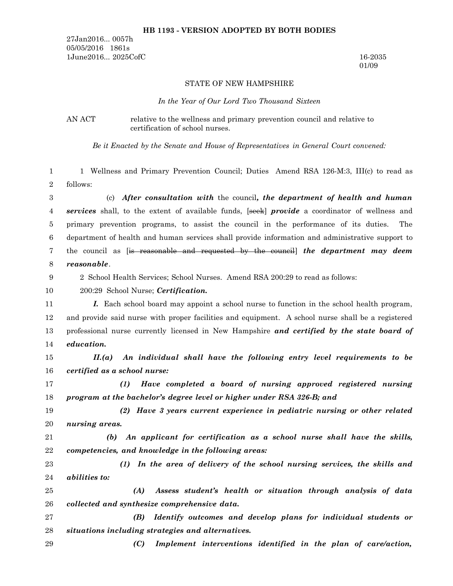#### **HB 1193 - VERSION ADOPTED BY BOTH BODIES**

27Jan2016... 0057h 05/05/2016 1861s 1June2016... 2025CofC 16-2035

01/09

#### STATE OF NEW HAMPSHIRE

#### *In the Year of Our Lord Two Thousand Sixteen*

AN ACT relative to the wellness and primary prevention council and relative to certification of school nurses.

*Be it Enacted by the Senate and House of Representatives in General Court convened:*

1 Wellness and Primary Prevention Council; Duties Amend RSA 126-M:3, III(c) to read as follows: 1 2

(c) *After consultation with* the council*, the department of health and human services* shall, to the extent of available funds, [seek] *provide* a coordinator of wellness and primary prevention programs, to assist the council in the performance of its duties. The department of health and human services shall provide information and administrative support to the council as [is reasonable and requested by the council] *the department may deem reasonable*. 3 4 5 6 7 8

2 School Health Services; School Nurses. Amend RSA 200:29 to read as follows:

200:29 School Nurse; *Certification.* 10

9

*I.* Each school board may appoint a school nurse to function in the school health program, and provide said nurse with proper facilities and equipment. A school nurse shall be a registered professional nurse currently licensed in New Hampshire *and certified by the state board of education.* 11 12 13 14

*II.(a) An individual shall have the following entry level requirements to be certified as a school nurse:* 15 16

*(1) Have completed a board of nursing approved registered nursing program at the bachelor's degree level or higher under RSA 326-B; and* 17 18

*(2) Have 3 years current experience in pediatric nursing or other related nursing areas.* 19 20

*(b) An applicant for certification as a school nurse shall have the skills, competencies, and knowledge in the following areas:* 21 22

*(1) In the area of delivery of the school nursing services, the skills and abilities to:* 23 24

*(A) Assess student's health or situation through analysis of data collected and synthesize comprehensive data.* 25 26

*(B) Identify outcomes and develop plans for individual students or situations including strategies and alternatives.* 27 28

*(C) Implement interventions identified in the plan of care/action,* 29